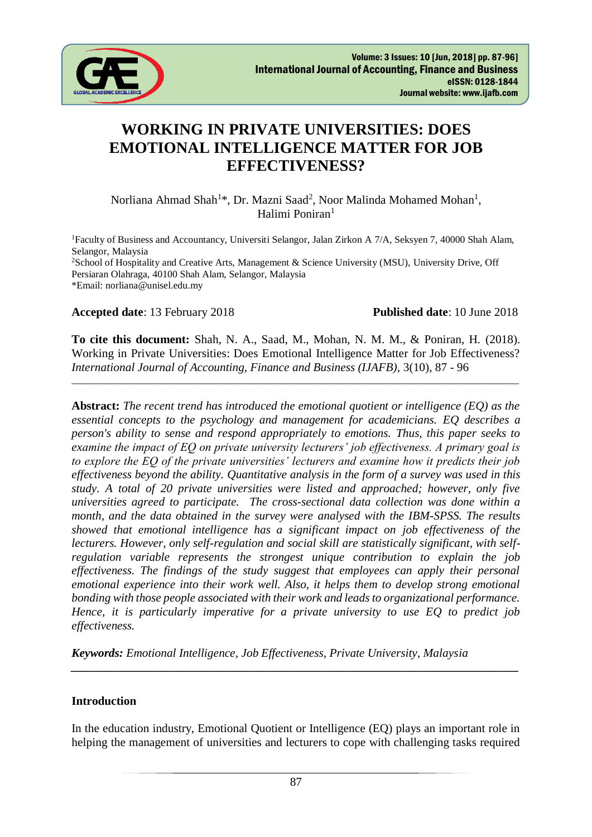

# **WORKING IN PRIVATE UNIVERSITIES: DOES EMOTIONAL INTELLIGENCE MATTER FOR JOB EFFECTIVENESS?**

Norliana Ahmad Shah<sup>1\*</sup>, Dr. Mazni Saad<sup>2</sup>, Noor Malinda Mohamed Mohan<sup>1</sup>, Halimi Poniran<sup>1</sup>

<sup>1</sup>Faculty of Business and Accountancy, Universiti Selangor, Jalan Zirkon A 7/A, Seksyen 7, 40000 Shah Alam, Selangor, Malaysia <sup>2</sup>School of Hospitality and Creative Arts, Management & Science University (MSU), University Drive, Off Persiaran Olahraga, 40100 Shah Alam, Selangor, Malaysia \*Email: norliana@unisel.edu.my

#### **Accepted date**: 13 February 2018 **Published date**: 10 June 2018

**To cite this document:** Shah, N. A., Saad, M., Mohan, N. M. M., & Poniran, H. (2018). Working in Private Universities: Does Emotional Intelligence Matter for Job Effectiveness? *International Journal of Accounting, Finance and Business (IJAFB),* 3(10), 87 - 96

\_\_\_\_\_\_\_\_\_\_\_\_\_\_\_\_\_\_\_\_\_\_\_\_\_\_\_\_\_\_\_\_\_\_\_\_\_\_\_\_\_\_\_\_\_\_\_\_\_\_\_\_\_\_\_\_\_\_\_\_\_\_\_\_\_\_\_\_\_\_\_\_\_\_\_\_\_\_\_\_\_\_\_\_\_\_\_\_\_\_

**Abstract:** *The recent trend has introduced the emotional quotient or intelligence (EQ) as the essential concepts to the psychology and management for academicians. EQ describes a person's ability to sense and respond appropriately to emotions. Thus, this paper seeks to examine the impact of EQ on private university lecturers' job effectiveness. A primary goal is to explore the EQ of the private universities' lecturers and examine how it predicts their job effectiveness beyond the ability. Quantitative analysis in the form of a survey was used in this study. A total of 20 private universities were listed and approached; however, only five universities agreed to participate. The cross-sectional data collection was done within a month, and the data obtained in the survey were analysed with the IBM-SPSS. The results showed that emotional intelligence has a significant impact on job effectiveness of the lecturers. However, only self-regulation and social skill are statistically significant, with selfregulation variable represents the strongest unique contribution to explain the job effectiveness. The findings of the study suggest that employees can apply their personal emotional experience into their work well. Also, it helps them to develop strong emotional bonding with those people associated with their work and leads to organizational performance. Hence, it is particularly imperative for a private university to use EQ to predict job effectiveness.*

*Keywords: Emotional Intelligence, Job Effectiveness, Private University, Malaysia*

#### **Introduction**

In the education industry, Emotional Quotient or Intelligence (EQ) plays an important role in helping the management of universities and lecturers to cope with challenging tasks required

*\_\_\_\_\_\_\_\_\_\_\_\_\_\_\_\_\_\_\_\_\_\_\_\_\_\_\_\_\_\_\_\_\_\_\_\_\_\_\_\_\_\_\_\_\_\_\_\_\_\_\_\_\_\_\_\_\_\_\_\_\_\_\_\_\_\_\_\_\_\_\_\_\_\_\_*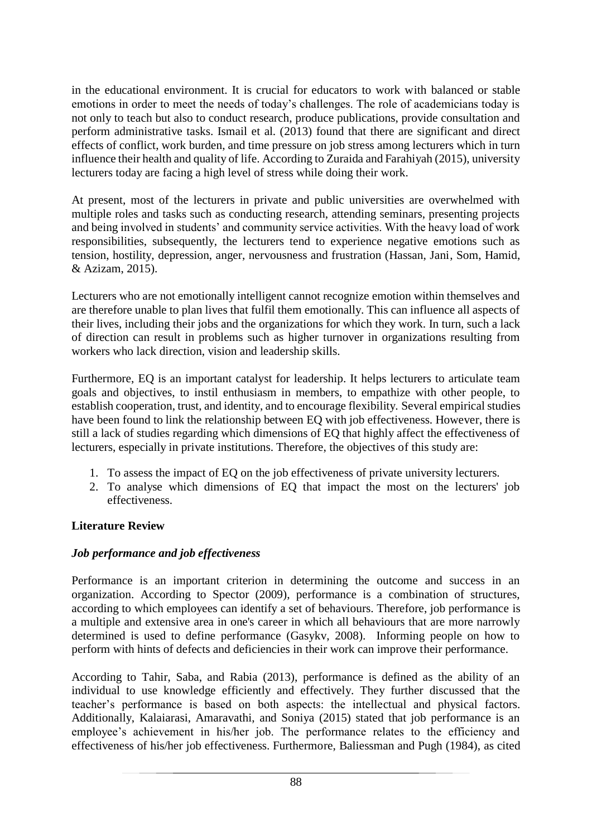in the educational environment. It is crucial for educators to work with balanced or stable emotions in order to meet the needs of today's challenges. The role of academicians today is not only to teach but also to conduct research, produce publications, provide consultation and perform administrative tasks. Ismail et al. (2013) found that there are significant and direct effects of conflict, work burden, and time pressure on job stress among lecturers which in turn influence their health and quality of life. According to Zuraida and Farahiyah (2015), university lecturers today are facing a high level of stress while doing their work.

At present, most of the lecturers in private and public universities are overwhelmed with multiple roles and tasks such as conducting research, attending seminars, presenting projects and being involved in students' and community service activities. With the heavy load of work responsibilities, subsequently, the lecturers tend to experience negative emotions such as tension, hostility, depression, anger, nervousness and frustration (Hassan, Jani, Som, Hamid, & Azizam, 2015).

Lecturers who are not emotionally intelligent cannot recognize emotion within themselves and are therefore unable to plan lives that fulfil them emotionally. This can influence all aspects of their lives, including their jobs and the organizations for which they work. In turn, such a lack of direction can result in problems such as higher turnover in organizations resulting from workers who lack direction, vision and leadership skills.

Furthermore, EQ is an important catalyst for leadership. It helps lecturers to articulate team goals and objectives, to instil enthusiasm in members, to empathize with other people, to establish cooperation, trust, and identity, and to encourage flexibility. Several empirical studies have been found to link the relationship between EQ with job effectiveness. However, there is still a lack of studies regarding which dimensions of EQ that highly affect the effectiveness of lecturers, especially in private institutions. Therefore, the objectives of this study are:

- 1. To assess the impact of EQ on the job effectiveness of private university lecturers.
- 2. To analyse which dimensions of EQ that impact the most on the lecturers' job effectiveness.

# **Literature Review**

# *Job performance and job effectiveness*

Performance is an important criterion in determining the outcome and success in an organization. According to Spector (2009), performance is a combination of structures, according to which employees can identify a set of behaviours. Therefore, job performance is a multiple and extensive area in one's career in which all behaviours that are more narrowly determined is used to define performance (Gasykv, 2008). Informing people on how to perform with hints of defects and deficiencies in their work can improve their performance.

According to Tahir, Saba, and Rabia (2013), performance is defined as the ability of an individual to use knowledge efficiently and effectively. They further discussed that the teacher's performance is based on both aspects: the intellectual and physical factors. Additionally, Kalaiarasi, Amaravathi, and Soniya (2015) stated that job performance is an employee's achievement in his/her job. The performance relates to the efficiency and effectiveness of his/her job effectiveness. Furthermore, Baliessman and Pugh (1984), as cited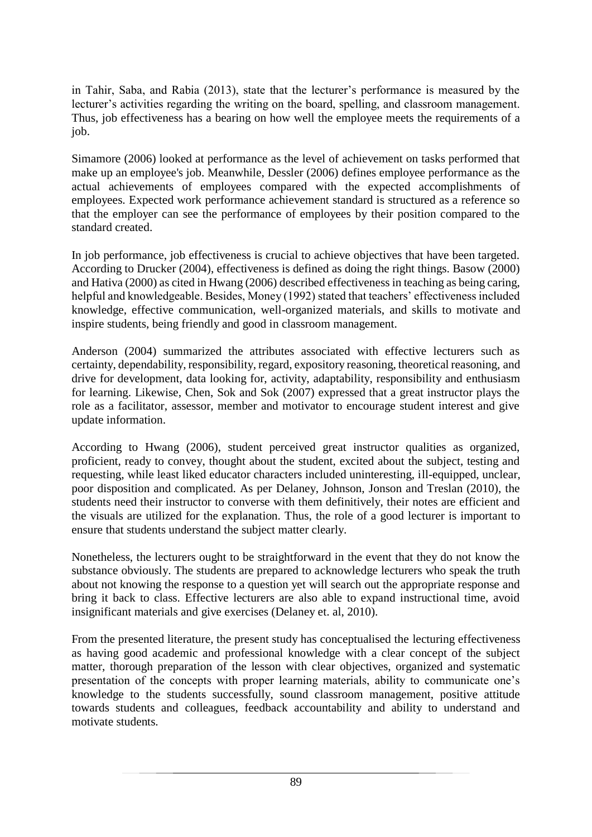in Tahir, Saba, and Rabia (2013), state that the lecturer's performance is measured by the lecturer's activities regarding the writing on the board, spelling, and classroom management. Thus, job effectiveness has a bearing on how well the employee meets the requirements of a job.

Simamore (2006) looked at performance as the level of achievement on tasks performed that make up an employee's job. Meanwhile, Dessler (2006) defines employee performance as the actual achievements of employees compared with the expected accomplishments of employees. Expected work performance achievement standard is structured as a reference so that the employer can see the performance of employees by their position compared to the standard created.

In job performance, job effectiveness is crucial to achieve objectives that have been targeted. According to Drucker (2004), effectiveness is defined as doing the right things. Basow (2000) and Hativa (2000) as cited in Hwang (2006) described effectiveness in teaching as being caring, helpful and knowledgeable. Besides, Money (1992) stated that teachers' effectiveness included knowledge, effective communication, well-organized materials, and skills to motivate and inspire students, being friendly and good in classroom management.

Anderson (2004) summarized the attributes associated with effective lecturers such as certainty, dependability, responsibility, regard, expository reasoning, theoretical reasoning, and drive for development, data looking for, activity, adaptability, responsibility and enthusiasm for learning. Likewise, Chen, Sok and Sok (2007) expressed that a great instructor plays the role as a facilitator, assessor, member and motivator to encourage student interest and give update information.

According to Hwang (2006), student perceived great instructor qualities as organized, proficient, ready to convey, thought about the student, excited about the subject, testing and requesting, while least liked educator characters included uninteresting, ill-equipped, unclear, poor disposition and complicated. As per Delaney, Johnson, Jonson and Treslan (2010), the students need their instructor to converse with them definitively, their notes are efficient and the visuals are utilized for the explanation. Thus, the role of a good lecturer is important to ensure that students understand the subject matter clearly.

Nonetheless, the lecturers ought to be straightforward in the event that they do not know the substance obviously. The students are prepared to acknowledge lecturers who speak the truth about not knowing the response to a question yet will search out the appropriate response and bring it back to class. Effective lecturers are also able to expand instructional time, avoid insignificant materials and give exercises (Delaney et. al, 2010).

From the presented literature, the present study has conceptualised the lecturing effectiveness as having good academic and professional knowledge with a clear concept of the subject matter, thorough preparation of the lesson with clear objectives, organized and systematic presentation of the concepts with proper learning materials, ability to communicate one's knowledge to the students successfully, sound classroom management, positive attitude towards students and colleagues, feedback accountability and ability to understand and motivate students.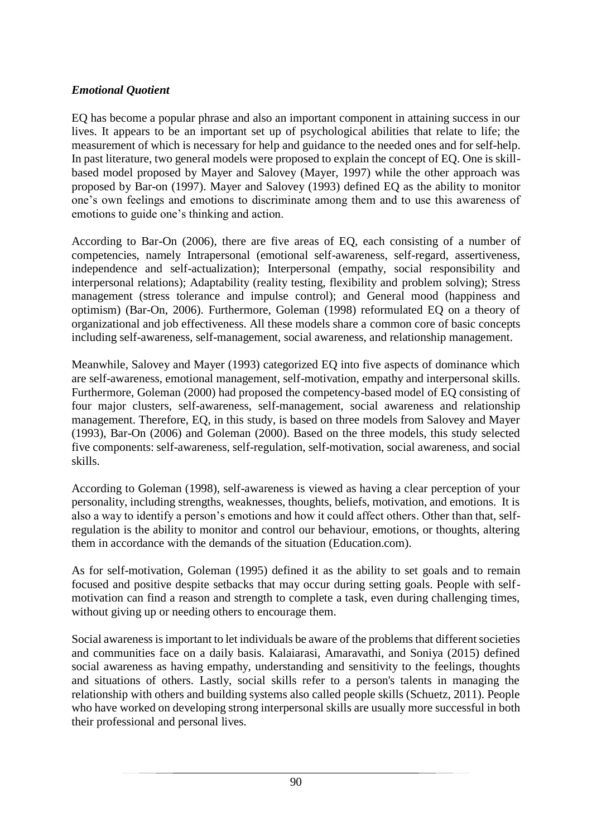# *Emotional Quotient*

EQ has become a popular phrase and also an important component in attaining success in our lives. It appears to be an important set up of psychological abilities that relate to life; the measurement of which is necessary for help and guidance to the needed ones and for self-help. In past literature, two general models were proposed to explain the concept of EQ. One is skillbased model proposed by Mayer and Salovey (Mayer, 1997) while the other approach was proposed by Bar-on (1997). Mayer and Salovey (1993) defined EQ as the ability to monitor one's own feelings and emotions to discriminate among them and to use this awareness of emotions to guide one's thinking and action.

According to Bar-On (2006), there are five areas of EQ, each consisting of a number of competencies, namely Intrapersonal (emotional self-awareness, self-regard, assertiveness, independence and self-actualization); Interpersonal (empathy, social responsibility and interpersonal relations); Adaptability (reality testing, flexibility and problem solving); Stress management (stress tolerance and impulse control); and General mood (happiness and optimism) (Bar-On, 2006). Furthermore, Goleman (1998) reformulated EQ on a theory of organizational and job effectiveness. All these models share a common core of basic concepts including self-awareness, self-management, social awareness, and relationship management.

Meanwhile, Salovey and Mayer (1993) categorized EQ into five aspects of dominance which are self-awareness, emotional management, self-motivation, empathy and interpersonal skills. Furthermore, Goleman (2000) had proposed the competency-based model of EQ consisting of four major clusters, self-awareness, self-management, social awareness and relationship management. Therefore, EQ, in this study, is based on three models from Salovey and Mayer (1993), Bar-On (2006) and Goleman (2000). Based on the three models, this study selected five components: self-awareness, self-regulation, self-motivation, social awareness, and social skills.

According to Goleman (1998), self-awareness is viewed as having a clear perception of your personality, including strengths, weaknesses, thoughts, beliefs, motivation, and emotions. It is also a way to identify a person's emotions and how it could affect others. Other than that, selfregulation is the ability to monitor and control our behaviour, emotions, or thoughts, altering them in accordance with the demands of the situation (Education.com).

As for self-motivation, Goleman (1995) defined it as the ability to set goals and to remain focused and positive despite setbacks that may occur during setting goals. People with selfmotivation can find a reason and strength to complete a task, even during challenging times, without giving up or needing others to encourage them.

Social awareness is important to let individuals be aware of the problems that different societies and communities face on a daily basis. Kalaiarasi, Amaravathi, and Soniya (2015) defined social awareness as having empathy, understanding and sensitivity to the feelings, thoughts and situations of others. Lastly, social skills refer to a person's talents in managing the relationship with others and building systems also called people skills (Schuetz, 2011). People who have worked on developing strong interpersonal skills are usually more successful in both their professional and personal lives.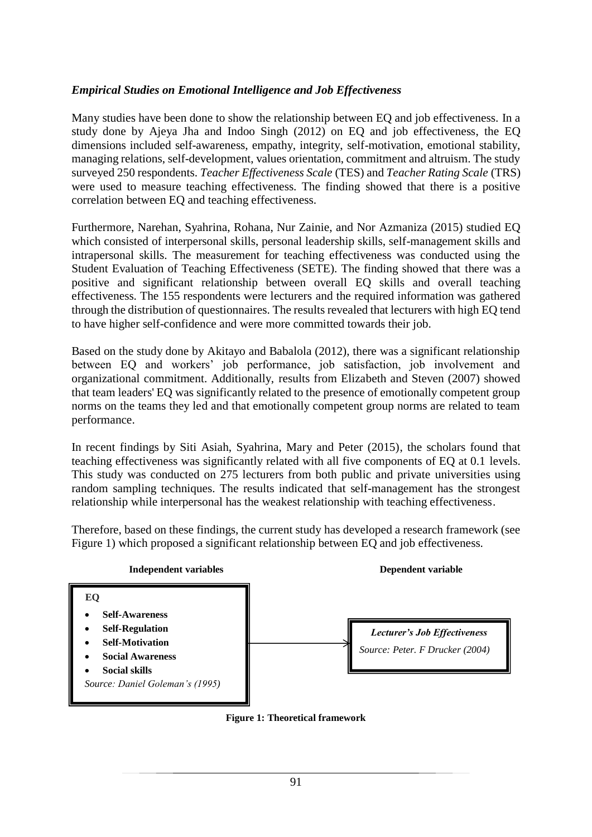# *Empirical Studies on Emotional Intelligence and Job Effectiveness*

Many studies have been done to show the relationship between EQ and job effectiveness. In a study done by Ajeya Jha and Indoo Singh (2012) on EQ and job effectiveness, the EQ dimensions included self-awareness, empathy, integrity, self-motivation, emotional stability, managing relations, self-development, values orientation, commitment and altruism. The study surveyed 250 respondents. *Teacher Effectiveness Scale* (TES) and *Teacher Rating Scale* (TRS) were used to measure teaching effectiveness. The finding showed that there is a positive correlation between EQ and teaching effectiveness.

Furthermore, Narehan, Syahrina, Rohana, Nur Zainie, and Nor Azmaniza (2015) studied EQ which consisted of interpersonal skills, personal leadership skills, self-management skills and intrapersonal skills. The measurement for teaching effectiveness was conducted using the Student Evaluation of Teaching Effectiveness (SETE). The finding showed that there was a positive and significant relationship between overall EQ skills and overall teaching effectiveness. The 155 respondents were lecturers and the required information was gathered through the distribution of questionnaires. The results revealed that lecturers with high EQ tend to have higher self-confidence and were more committed towards their job.

Based on the study done by Akitayo and Babalola (2012), there was a significant relationship between EQ and workers' job performance, job satisfaction, job involvement and organizational commitment. Additionally, results from Elizabeth and Steven (2007) showed that team leaders' EQ was significantly related to the presence of emotionally competent group norms on the teams they led and that emotionally competent group norms are related to team performance.

In recent findings by Siti Asiah, Syahrina, Mary and Peter (2015), the scholars found that teaching effectiveness was significantly related with all five components of EQ at 0.1 levels. This study was conducted on 275 lecturers from both public and private universities using random sampling techniques. The results indicated that self-management has the strongest relationship while interpersonal has the weakest relationship with teaching effectiveness.

Therefore, based on these findings, the current study has developed a research framework (see Figure 1) which proposed a significant relationship between EQ and job effectiveness.



**Figure 1: Theoretical framework**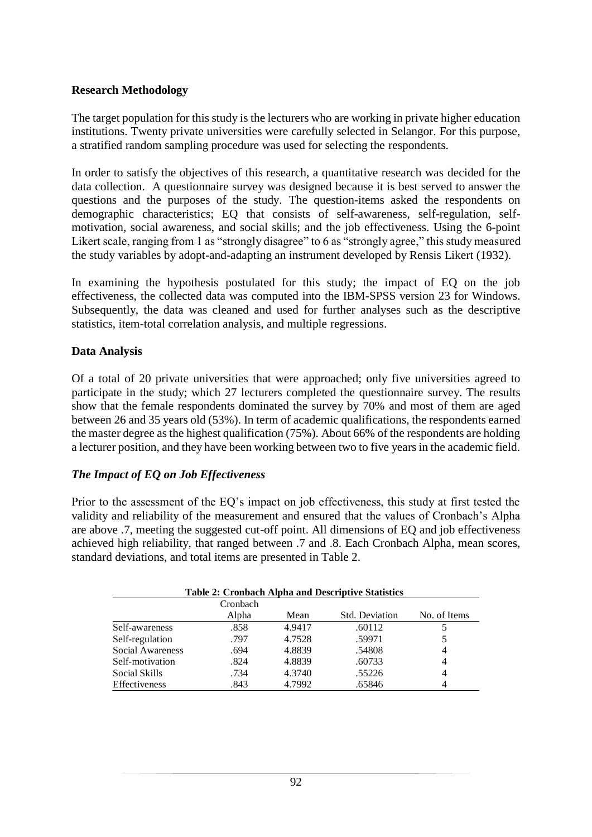#### **Research Methodology**

The target population for this study is the lecturers who are working in private higher education institutions. Twenty private universities were carefully selected in Selangor. For this purpose, a stratified random sampling procedure was used for selecting the respondents.

In order to satisfy the objectives of this research, a quantitative research was decided for the data collection. A questionnaire survey was designed because it is best served to answer the questions and the purposes of the study. The question-items asked the respondents on demographic characteristics; EQ that consists of self-awareness, self-regulation, selfmotivation, social awareness, and social skills; and the job effectiveness. Using the 6-point Likert scale, ranging from 1 as "strongly disagree" to 6 as "strongly agree," this study measured the study variables by adopt-and-adapting an instrument developed by Rensis Likert (1932).

In examining the hypothesis postulated for this study; the impact of EQ on the job effectiveness, the collected data was computed into the IBM-SPSS version 23 for Windows. Subsequently, the data was cleaned and used for further analyses such as the descriptive statistics, item-total correlation analysis, and multiple regressions.

#### **Data Analysis**

Of a total of 20 private universities that were approached; only five universities agreed to participate in the study; which 27 lecturers completed the questionnaire survey. The results show that the female respondents dominated the survey by 70% and most of them are aged between 26 and 35 years old (53%). In term of academic qualifications, the respondents earned the master degree as the highest qualification (75%). About 66% of the respondents are holding a lecturer position, and they have been working between two to five years in the academic field.

### *The Impact of EQ on Job Effectiveness*

Prior to the assessment of the EQ's impact on job effectiveness, this study at first tested the validity and reliability of the measurement and ensured that the values of Cronbach's Alpha are above .7, meeting the suggested cut-off point. All dimensions of EQ and job effectiveness achieved high reliability, that ranged between .7 and .8. Each Cronbach Alpha, mean scores, standard deviations, and total items are presented in Table 2.

|                  | Cronbach |        |                       |              |
|------------------|----------|--------|-----------------------|--------------|
|                  | Alpha    | Mean   | <b>Std. Deviation</b> | No. of Items |
| Self-awareness   | .858     | 4.9417 | .60112                |              |
| Self-regulation  | .797     | 4.7528 | .59971                | 5            |
| Social Awareness | .694     | 4.8839 | .54808                | 4            |
| Self-motivation  | .824     | 4.8839 | .60733                | 4            |
| Social Skills    | .734     | 4.3740 | .55226                | 4            |
| Effectiveness    | .843     | 4.7992 | .65846                | 4            |

# **Table 2: Cronbach Alpha and Descriptive Statistics**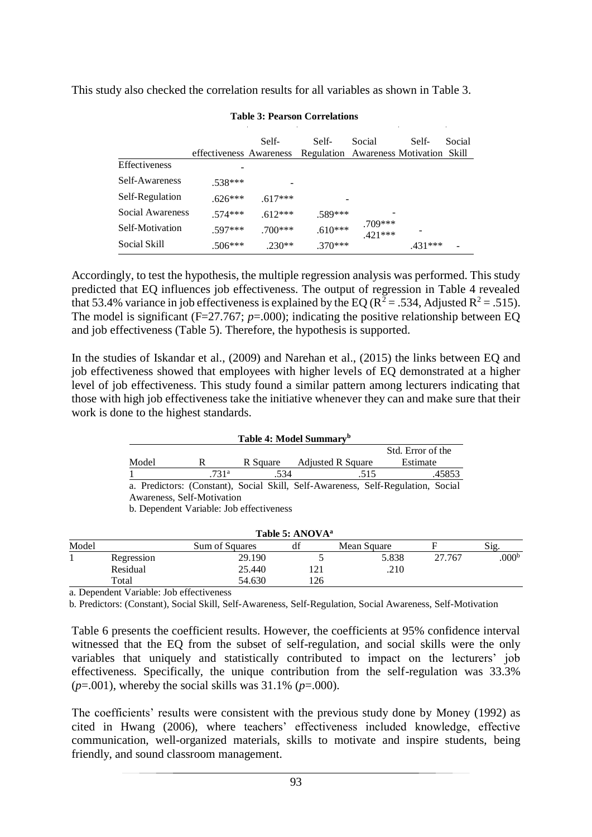This study also checked the correlation results for all variables as shown in Table 3.

|                  | effectiveness Awareness | Self-     | Self-<br>Regulation Awareness Motivation Skill | Social                 | Self-  | Social |
|------------------|-------------------------|-----------|------------------------------------------------|------------------------|--------|--------|
| Effectiveness    |                         |           |                                                |                        |        |        |
| Self-Awareness   | $.538***$               |           |                                                |                        |        |        |
| Self-Regulation  | $.626***$               | $.617***$ |                                                |                        |        |        |
| Social Awareness | $574***$                | $.612***$ | .589***                                        |                        |        |        |
| Self-Motivation  | $.597***$               | $.700***$ | $.610***$                                      | $.709***$<br>$.421***$ |        |        |
| Social Skill     | $.506***$               | $.230**$  | $.370***$                                      |                        | 431*** |        |

**Table 3: Pearson Correlations**

Accordingly, to test the hypothesis, the multiple regression analysis was performed. This study predicted that EQ influences job effectiveness. The output of regression in Table 4 revealed that 53.4% variance in job effectiveness is explained by the EQ ( $R^2 = .534$ , Adjusted  $R^2 = .515$ ). The model is significant (F=27.767; *p*=.000); indicating the positive relationship between EQ and job effectiveness (Table 5). Therefore, the hypothesis is supported.

In the studies of Iskandar et al., (2009) and Narehan et al., (2015) the links between EQ and job effectiveness showed that employees with higher levels of EQ demonstrated at a higher level of job effectiveness. This study found a similar pattern among lecturers indicating that those with high job effectiveness take the initiative whenever they can and make sure that their work is done to the highest standards.

#### **Table 4: Model Summary<sup>b</sup>**

|                                                                                  |                   |                                          |                          |      | Std. Error of the |  |
|----------------------------------------------------------------------------------|-------------------|------------------------------------------|--------------------------|------|-------------------|--|
| Model                                                                            | R                 | R Square                                 | <b>Adjusted R Square</b> |      | Estimate          |  |
|                                                                                  | .731 <sup>a</sup> | .534                                     |                          | .515 | .45853            |  |
| a. Predictors: (Constant), Social Skill, Self-Awareness, Self-Regulation, Social |                   |                                          |                          |      |                   |  |
| Awareness, Self-Motivation                                                       |                   |                                          |                          |      |                   |  |
|                                                                                  |                   | b. Dependent Variable: Job effectiveness |                          |      |                   |  |

|       | Table 5: ANOVA <sup>a</sup> |                       |     |             |        |                   |  |
|-------|-----------------------------|-----------------------|-----|-------------|--------|-------------------|--|
| Model |                             | <b>Sum of Squares</b> | df  | Mean Square |        | Sig.              |  |
|       | Regression                  | 29.190                |     | 5.838       | 27.767 | .000 <sup>b</sup> |  |
|       | Residual                    | 25.440                | 121 | .210        |        |                   |  |
|       | Total                       | 54.630                | 126 |             |        |                   |  |
|       |                             |                       |     |             |        |                   |  |

a. Dependent Variable: Job effectiveness

b. Predictors: (Constant), Social Skill, Self-Awareness, Self-Regulation, Social Awareness, Self-Motivation

Table 6 presents the coefficient results. However, the coefficients at 95% confidence interval witnessed that the EQ from the subset of self-regulation, and social skills were the only variables that uniquely and statistically contributed to impact on the lecturers' job effectiveness. Specifically, the unique contribution from the self-regulation was 33.3% (*p*=.001), whereby the social skills was 31.1% (*p*=.000).

The coefficients' results were consistent with the previous study done by Money (1992) as cited in Hwang (2006), where teachers' effectiveness included knowledge, effective communication, well-organized materials, skills to motivate and inspire students, being friendly, and sound classroom management.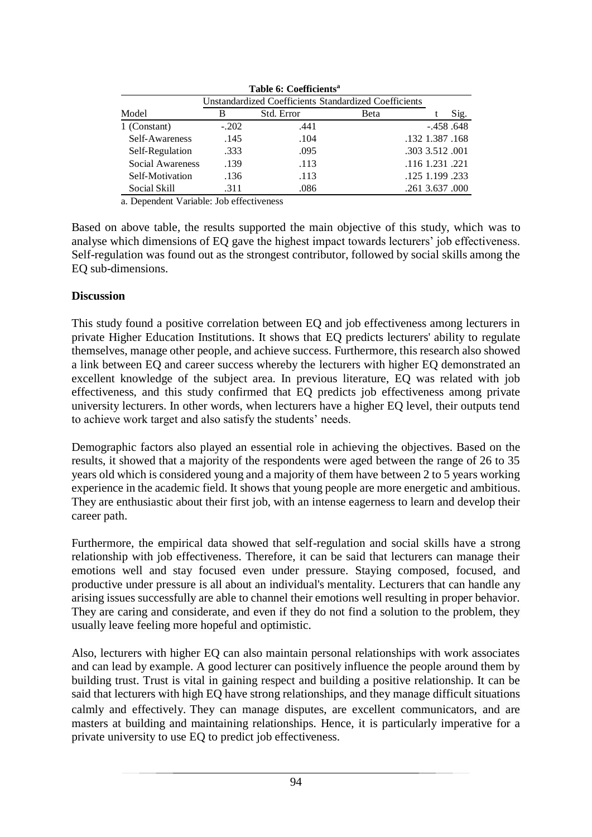| Table 6: Coefficients"                                       |         |            |      |                 |      |  |  |
|--------------------------------------------------------------|---------|------------|------|-----------------|------|--|--|
| <b>Unstandardized Coefficients Standardized Coefficients</b> |         |            |      |                 |      |  |  |
| Model                                                        | В       | Std. Error | Beta |                 | Sig. |  |  |
| 1 (Constant)                                                 | $-.202$ | .441       |      | $-.458.648$     |      |  |  |
| Self-Awareness                                               | .145    | .104       |      | .132 1.387 .168 |      |  |  |
| Self-Regulation                                              | .333    | .095       |      | .303 3.512 .001 |      |  |  |
| Social Awareness                                             | .139    | .113       |      | .116 1.231 .221 |      |  |  |
| Self-Motivation                                              | .136    | .113       |      | .125 1.199 .233 |      |  |  |
| Social Skill                                                 | .311    | .086       |      | .261 3.637 .000 |      |  |  |

**Table 6: Coefficients<sup>a</sup>**

a. Dependent Variable: Job effectiveness

Based on above table, the results supported the main objective of this study, which was to analyse which dimensions of EQ gave the highest impact towards lecturers' job effectiveness. Self-regulation was found out as the strongest contributor, followed by social skills among the EQ sub-dimensions.

### **Discussion**

This study found a positive correlation between EQ and job effectiveness among lecturers in private Higher Education Institutions. It shows that EQ predicts lecturers' ability to regulate themselves, manage other people, and achieve success. Furthermore, this research also showed a link between EQ and career success whereby the lecturers with higher EQ demonstrated an excellent knowledge of the subject area. In previous literature, EQ was related with job effectiveness, and this study confirmed that EQ predicts job effectiveness among private university lecturers. In other words, when lecturers have a higher EQ level, their outputs tend to achieve work target and also satisfy the students' needs.

Demographic factors also played an essential role in achieving the objectives. Based on the results, it showed that a majority of the respondents were aged between the range of 26 to 35 years old which is considered young and a majority of them have between 2 to 5 years working experience in the academic field. It shows that young people are more energetic and ambitious. They are enthusiastic about their first job, with an intense eagerness to learn and develop their career path.

Furthermore, the empirical data showed that self-regulation and social skills have a strong relationship with job effectiveness. Therefore, it can be said that lecturers can manage their emotions well and stay focused even under pressure. Staying composed, focused, and productive under pressure is all about an individual's mentality. Lecturers that can handle any arising issues successfully are able to channel their emotions well resulting in proper behavior. They are caring and considerate, and even if they do not find a solution to the problem, they usually leave feeling more hopeful and optimistic.

Also, lecturers with higher EQ can also maintain personal relationships with work associates and can lead by example. A good lecturer can positively influence the people around them by building trust. Trust is vital in gaining respect and building a positive relationship. It can be said that lecturers with high EQ have strong relationships, and they manage difficult situations calmly and effectively. They can manage disputes, are excellent communicators, and are masters at building and maintaining relationships. Hence, it is particularly imperative for a private university to use EQ to predict job effectiveness.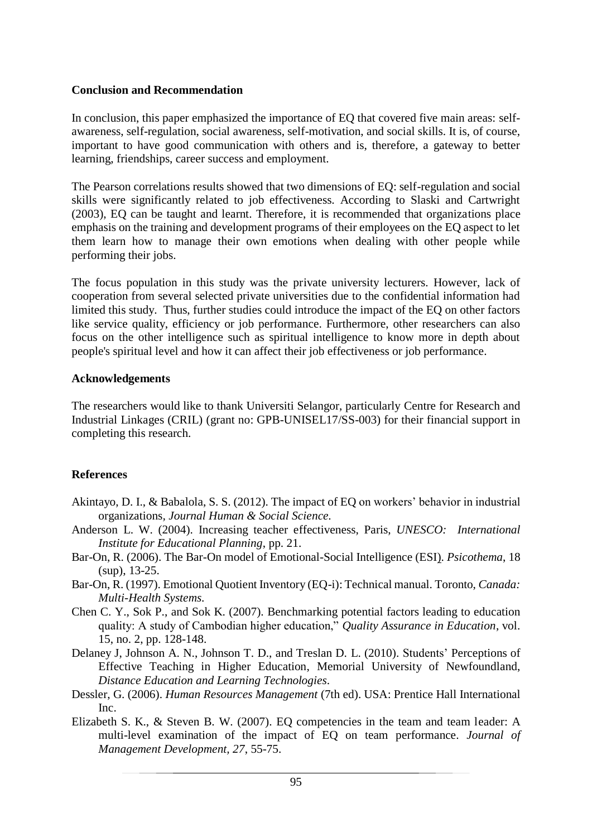#### **Conclusion and Recommendation**

In conclusion, this paper emphasized the importance of EQ that covered five main areas: selfawareness, self-regulation, social awareness, self-motivation, and social skills. It is, of course, important to have good communication with others and is, therefore, a gateway to better learning, friendships, career success and employment.

The Pearson correlations results showed that two dimensions of EQ: self-regulation and social skills were significantly related to job effectiveness. According to Slaski and Cartwright (2003), EQ can be taught and learnt. Therefore, it is recommended that organizations place emphasis on the training and development programs of their employees on the EQ aspect to let them learn how to manage their own emotions when dealing with other people while performing their jobs.

The focus population in this study was the private university lecturers. However, lack of cooperation from several selected private universities due to the confidential information had limited this study. Thus, further studies could introduce the impact of the EQ on other factors like service quality, efficiency or job performance. Furthermore, other researchers can also focus on the other intelligence such as spiritual intelligence to know more in depth about people's spiritual level and how it can affect their job effectiveness or job performance.

#### **Acknowledgements**

The researchers would like to thank Universiti Selangor, particularly Centre for Research and Industrial Linkages (CRIL) (grant no: GPB-UNISEL17/SS-003) for their financial support in completing this research.

### **References**

- Akintayo, D. I., & Babalola, S. S. (2012). The impact of EQ on workers' behavior in industrial organizations*, Journal Human & Social Science.*
- Anderson L. W. (2004). Increasing teacher effectiveness, Paris, *UNESCO: International Institute for Educational Planning*, pp. 21.
- Bar-On, R. (2006). The Bar-On model of Emotional-Social Intelligence (ESI). *Psicothema*, 18 (sup), 13-25.
- Bar-On, R. (1997). Emotional Quotient Inventory (EQ-i): Technical manual. Toronto, *Canada: Multi-Health Systems.*
- Chen C. Y., Sok P., and Sok K. (2007). Benchmarking potential factors leading to education quality: A study of Cambodian higher education," *Quality Assurance in Education*, vol. 15, no. 2, pp. 128-148.
- Delaney J, Johnson A. N., Johnson T. D., and Treslan D. L. (2010). Students' Perceptions of Effective Teaching in Higher Education, Memorial University of Newfoundland, *Distance Education and Learning Technologies.*
- Dessler, G. (2006). *Human Resources Management* (7th ed). USA: Prentice Hall International Inc.
- Elizabeth S. K., & Steven B. W. (2007). EQ competencies in the team and team leader: A multi-level examination of the impact of EQ on team performance. *Journal of Management Development, 27*, 55-75.